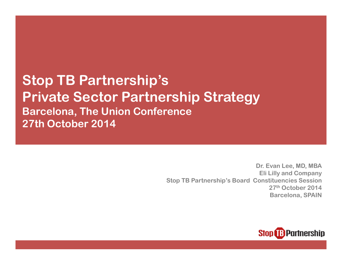Stop TB Partnership's Private Sector Partnership StrategyBarcelona, The Union Conference27th October 2014

> Dr. Evan Lee, MD, MBA Eli Lilly and Company Stop TB Partnership's Board Constituencies Session 27th October 2014 Barcelona, SPAIN

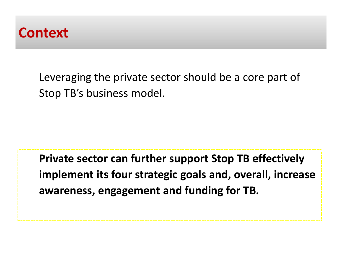

Leveraging the private sector should be a core part of Stop TB's business model.

Private sector can further support Stop TB effectively implement its four strategic goals and, overall, increase awareness, engagement and funding for TB.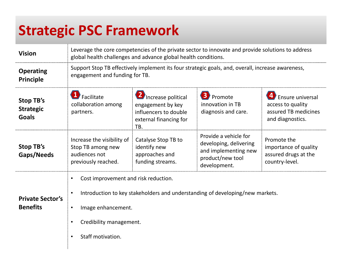# Strategic PSC Framework

| <b>Vision</b>                                        | Leverage the core competencies of the private sector to innovate and provide solutions to address<br>global health challenges and advance global health conditions.                         |                                                                                                   |                                                                                                             |                                                                                          |
|------------------------------------------------------|---------------------------------------------------------------------------------------------------------------------------------------------------------------------------------------------|---------------------------------------------------------------------------------------------------|-------------------------------------------------------------------------------------------------------------|------------------------------------------------------------------------------------------|
| <b>Operating</b><br><b>Principle</b>                 | Support Stop TB effectively implement its four strategic goals, and, overall, increase awareness,<br>engagement and funding for TB.                                                         |                                                                                                   |                                                                                                             |                                                                                          |
| <b>Stop TB's</b><br><b>Strategic</b><br><b>Goals</b> | Facilitate<br>collaboration among<br>partners.                                                                                                                                              | Increase political<br>engagement by key<br>influencers to double<br>external financing for<br>TB. | <b>B</b> Promote<br>innovation in TB<br>diagnosis and care.                                                 | <b>Ensure universal</b><br>access to quality<br>assured TB medicines<br>and diagnostics. |
| Stop TB's<br>Gaps/Needs                              | Increase the visibility of<br>Stop TB among new<br>audiences not<br>previously reached.                                                                                                     | Catalyse Stop TB to<br>identify new<br>approaches and<br>funding streams.                         | Provide a vehicle for<br>developing, delivering<br>and implementing new<br>product/new tool<br>development. | Promote the<br>importance of quality<br>assured drugs at the<br>country-level.           |
| <b>Private Sector's</b><br><b>Benefits</b>           | Cost improvement and risk reduction.<br>Introduction to key stakeholders and understanding of developing/new markets.<br>Image enhancement.<br>Credibility management.<br>Staff motivation. |                                                                                                   |                                                                                                             |                                                                                          |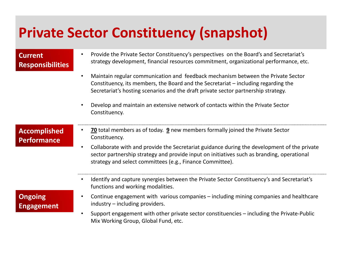# Private Sector Constituency (snapshot)

#### Current**Responsibilities**

- • Provide the Private Sector Constituency's perspectives on the Board's and Secretariat's strategy development, financial resources commitment, organizational performance, etc.
- • Maintain regular communication and feedback mechanism between the Private Sector Constituency, its members, the Board and the Secretariat – including regarding the Secretariat's hosting scenarios and the draft private sector partnership strategy.
- • Develop and maintain an extensive network of contacts within the Private Sector Constituency.

#### AccomplishedPerformance

- •• 70 total members as of today. 9 new members formally joined the Private Sector Constituency.
- • Collaborate with and provide the Secretariat guidance during the development of the private sector partnership strategy and provide input on initiatives such as branding, operational strategy and select committees (e.g., Finance Committee).
- • Identify and capture synergies between the Private Sector Constituency's and Secretariat's functions and working modalities.

### **Ongoing** Engagement

- • Continue engagement with various companies – including mining companies and healthcare industry – including providers.
- • Support engagement with other private sector constituencies – including the Private-Public Mix Working Group, Global Fund, etc.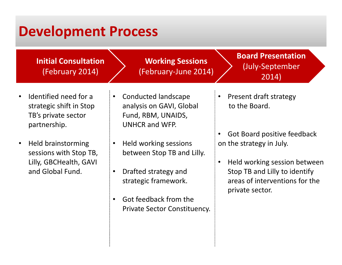## Development Process

Initial Consultation(February 2014)

Working Sessions(February-June 2014) Board Presentation(July-September 2014)

- • Identified need for a strategic shift in Stop TB's private sector partnership.
- • Held brainstorming sessions with Stop TB, Lilly, GBCHealth, GAVI and Global Fund.
- • Conducted landscape analysis on GAVI, Global Fund, RBM, UNAIDS, UNHCR and WFP.
- • Held working sessions between Stop TB and Lilly.
- • Drafted strategy and strategic framework.
- • Got feedback from the Private Sector Constituency.

• Present draft strategy to the Board.

•

- • Got Board positive feedback on the strategy in July.
	- Held working session between Stop TB and Lilly to identify areas of interventions for the private sector.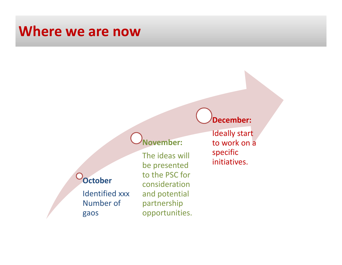## Where we are now

### November:

### **October**

Identified xxx Number of gaos

The ideas will be presented to the PSC for consideration and potentialpartnershipopportunities.

Ideally start to work on a specificinitiatives.

December: